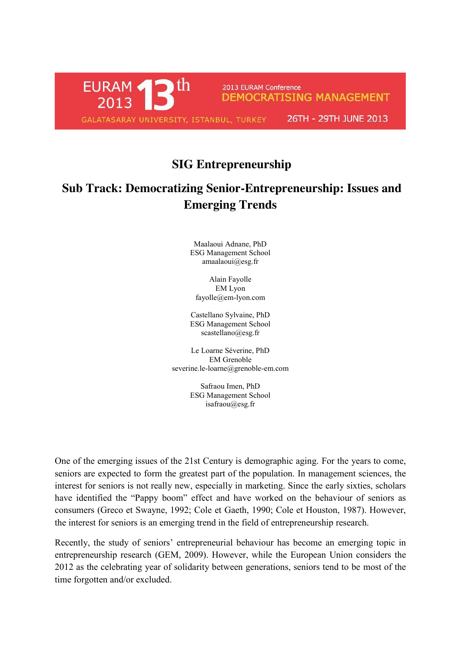

## **SIG Entrepreneurship**

## **Sub Track: Democratizing Senior-Entrepreneurship: Issues and Emerging Trends**

Maalaoui Adnane, PhD ESG Management School [amaalaoui@esg.fr](mailto:amaalaoui@esg.fr)

Alain Fayolle EM Lyon [fayolle@em-lyon.com](mailto:fayolle@em-lyon.com)

Castellano Sylvaine, PhD ESG Management School [scastellano@esg.fr](mailto:scastellano@esg.fr)

Le Loarne Séverine, PhD EM Grenoble severine.le-loarne@grenoble-em.com

> Safraou Imen, PhD ESG Management School [isafraou@esg.fr](mailto:isafraou@esg.fr)

One of the emerging issues of the 21st Century is demographic aging. For the years to come, seniors are expected to form the greatest part of the population. In management sciences, the interest for seniors is not really new, especially in marketing. Since the early sixties, scholars have identified the "Pappy boom" effect and have worked on the behaviour of seniors as consumers (Greco et Swayne, 1992; Cole et Gaeth, 1990; Cole et Houston, 1987). However, the interest for seniors is an emerging trend in the field of entrepreneurship research.

Recently, the study of seniors' entrepreneurial behaviour has become an emerging topic in entrepreneurship research (GEM, 2009). However, while the European Union considers the 2012 as the celebrating year of solidarity between generations, seniors tend to be most of the time forgotten and/or excluded.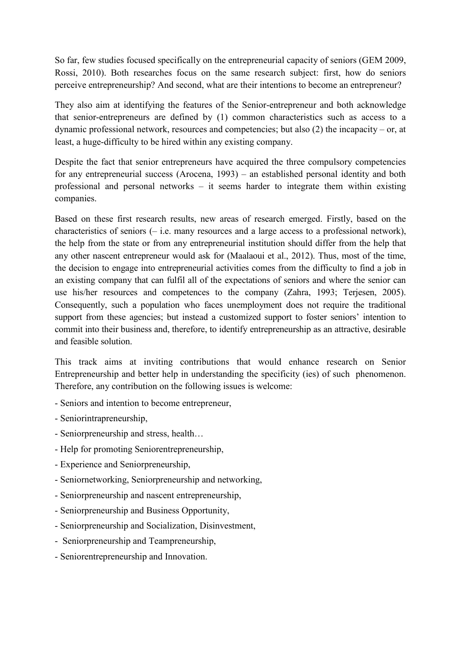So far, few studies focused specifically on the entrepreneurial capacity of seniors (GEM 2009, Rossi, 2010). Both researches focus on the same research subject: first, how do seniors perceive entrepreneurship? And second, what are their intentions to become an entrepreneur?

They also aim at identifying the features of the Senior-entrepreneur and both acknowledge that senior-entrepreneurs are defined by (1) common characteristics such as access to a dynamic professional network, resources and competencies; but also (2) the incapacity – or, at least, a huge-difficulty to be hired within any existing company.

Despite the fact that senior entrepreneurs have acquired the three compulsory competencies for any entrepreneurial success (Arocena, 1993) – an established personal identity and both professional and personal networks – it seems harder to integrate them within existing companies.

Based on these first research results, new areas of research emerged. Firstly, based on the characteristics of seniors (– i.e. many resources and a large access to a professional network), the help from the state or from any entrepreneurial institution should differ from the help that any other nascent entrepreneur would ask for (Maalaoui et al., 2012). Thus, most of the time, the decision to engage into entrepreneurial activities comes from the difficulty to find a job in an existing company that can fulfil all of the expectations of seniors and where the senior can use his/her resources and competences to the company (Zahra, 1993; Terjesen, 2005). Consequently, such a population who faces unemployment does not require the traditional support from these agencies; but instead a customized support to foster seniors' intention to commit into their business and, therefore, to identify entrepreneurship as an attractive, desirable and feasible solution.

This track aims at inviting contributions that would enhance research on Senior Entrepreneurship and better help in understanding the specificity (ies) of such phenomenon. Therefore, any contribution on the following issues is welcome:

- Seniors and intention to become entrepreneur,
- Seniorintrapreneurship,
- Seniorpreneurship and stress, health…
- Help for promoting Seniorentrepreneurship,
- Experience and Seniorpreneurship,
- Seniornetworking, Seniorpreneurship and networking,
- Seniorpreneurship and nascent entrepreneurship,
- Seniorpreneurship and Business Opportunity,
- Seniorpreneurship and Socialization, Disinvestment,
- Seniorpreneurship and Teampreneurship,
- Seniorentrepreneurship and Innovation.